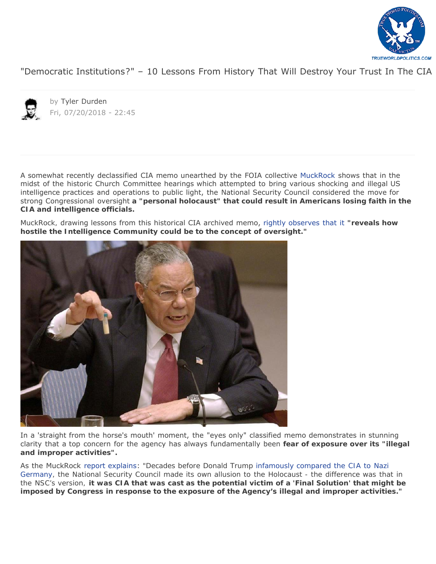

["Democratic Institutions?" – 10 Lessons From History That Will Destroy Your Trust In The CIA](https://www.zerohedge.com/news/2018-07-20/democratic-institutions-10-lessons-history-will-destroy-your-trust-cia)



by Tyler Durden Fri, 07/20/2018 - 22:45

A somewhat recently declassified CIA memo unearthed by the FOIA collective [MuckRock](https://www.muckrock.com/news/archives/2017/jun/08/cia-transparency-holocaust/) shows that in the midst of the historic Church Committee hearings which attempted to bring various shocking and illegal US intelligence practices and operations to public light, the National Security Council considered the move for strong Congressional oversight **a "personal holocaust" that could result in Americans losing faith in the CIA and intelligence officials.**

*MuckRock,* drawing lessons from this historical CIA archived memo, [rightly observes that it](https://www.muckrock.com/news/archives/2017/jun/08/cia-transparency-holocaust/) **"reveals how hostile the Intelligence Community could be to the concept of oversight."**



In a 'straight from the horse's mouth' moment, the "eyes only" classified memo demonstrates in stunning clarity that a top concern for the agency has always fundamentally been **fear of exposure over its "illegal and improper activities".**

As the MuckRock [report explains](https://www.muckrock.com/news/archives/2017/jun/08/cia-transparency-holocaust/): *"Decades before Donald Trump [infamously compared the CIA to Nazi](https://www.washingtonpost.com/news/morning-mix/wp/2017/01/17/cia-director-says-trump-crossed-the-line-by-comparing-cia-officers-to-nazis/?utm_term=.aa44b17bb84a) [Germany,](https://www.washingtonpost.com/news/morning-mix/wp/2017/01/17/cia-director-says-trump-crossed-the-line-by-comparing-cia-officers-to-nazis/?utm_term=.aa44b17bb84a) the National Security Council made its own allusion to the Holocaust - the difference was that in the NSC's version, it was CIA that was cast as the potential victim of a 'Final Solution' that might be imposed by Congress in response to the exposure of the Agency's illegal and improper activities."*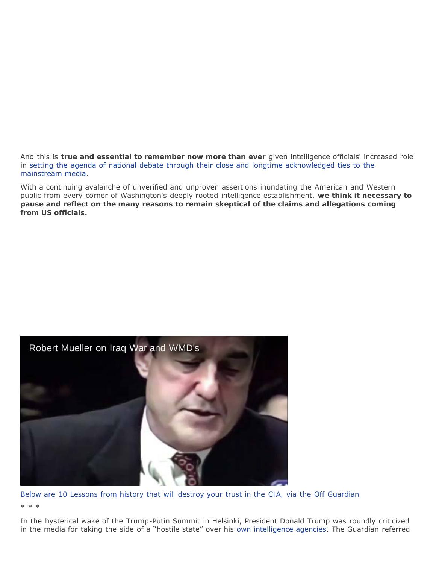And this is **true and essential to remember now more than ever** given intelligence officials' increased role in [setting the agenda of national debate through their close and longtime acknowledged ties to the](https://theintercept.com/2014/09/04/former-l-times-reporter-cleared-stories-cia-publication/) [mainstream media](https://theintercept.com/2014/09/04/former-l-times-reporter-cleared-stories-cia-publication/).

With a continuing avalanche of unverified and unproven assertions inundating the American and Western public from every corner of Washington's deeply rooted intelligence establishment, **we think it necessary to pause and reflect on the many reasons to remain skeptical of the claims and allegations coming from US officials.**



*[Below are 10 Lessons from history that will destroy your trust in the CIA, via the Off Guardian](https://off-guardian.org/2018/07/20/democratic-institutions-10-lessons-from-history-that-will-destroy-your-trust-in-the-cia/)* \* \* \*

In the hysterical wake of the Trump-Putin Summit in Helsinki, President Donald Trump was roundly criticized in the media for taking the side of a "hostile state" over his [own intelligence agencies.](https://www.vox.com/2017/11/11/16636906/trump-russia-putin-intelligence) *The Guardian* referred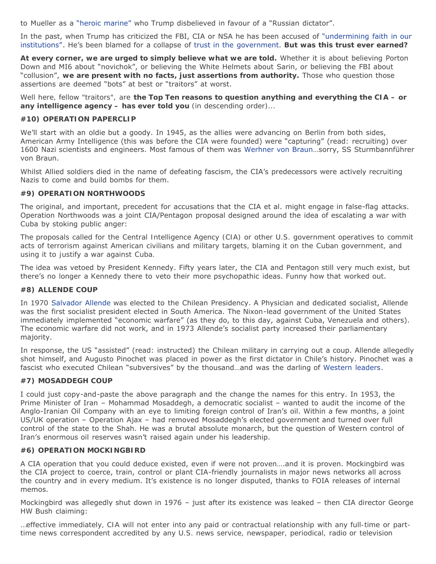to Mueller as a ["heroic marine"](https://www.theguardian.com/commentisfree/2018/jul/17/republicans-donald-trump-russia-treachery) who Trump disbelieved in favour of a "Russian dictator".

In the past, when Trump has criticized the FBI, CIA or NSA he has been accused of ["undermining faith in our](http://www.msnbc.com/rachel-maddow-show/trump-takes-aim-public-trust-democratic-institutions) [institutions"](http://www.msnbc.com/rachel-maddow-show/trump-takes-aim-public-trust-democratic-institutions). He's been blamed for a collapse of [trust in the government.](https://uk.reuters.com/article/us-davos-meeting-trust/trust-in-u-s-institutions-plunges-in-trumps-first-year-idUKKBN1FB08T) **But was this trust ever earned?**

**At every corner, we are urged to simply believe what we are told.** Whether it is about believing Porton Down and MI6 about "novichok", or believing the White Helmets about Sarin, or believing the FBI about "collusion", **we are present with no facts, just assertions from authority.** Those who question those assertions are deemed "bots" at best or "traitors" at worst.

*Well here, fellow "traitors", are the Top Ten reasons to question anything and everything the CIA – or any intelligence agency – has ever told you (in descending order)...*

### **#10) OPERATION PAPERCLIP**

We'll start with an oldie but a goody. In 1945, as the allies were advancing on Berlin from both sides, American Army Intelligence (this was before the CIA were founded) were "capturing" (read: recruiting) over 1600 Nazi scientists and engineers. Most famous of them was [Werhner von Braun…](https://en.wikipedia.org/wiki/Wernher_von_Braun)sorry, SS Sturmbannführer von Braun.

Whilst Allied soldiers died in the name of defeating fascism, the CIA's predecessors were actively recruiting Nazis to come and build bombs for them.

### **#9) OPERATION NORTHWOODS**

The original, and important, precedent for accusations that the CIA et al. might engage in false-flag attacks. Operation Northwoods was a joint CIA/Pentagon proposal designed around the idea of escalating a war with Cuba by stoking public anger:

*The proposals called for the Central Intelligence Agency (CIA) or other U.S. government operatives to commit acts of terrorism against American civilians and military targets, blaming it on the Cuban government, and using it to justify a war against Cuba.*

The idea was vetoed by President Kennedy. Fifty years later, the CIA and Pentagon still very much exist, but there's no longer a Kennedy there to veto their more psychopathic ideas. Funny how that worked out.

#### **#8) ALLENDE COUP**

In 1970 [Salvador Allende](https://en.wikipedia.org/wiki/Salvador_Allende) was elected to the Chilean Presidency. A Physician and dedicated socialist, Allende was the first socialist president elected in South America. The Nixon-lead government of the United States immediately implemented "economic warfare" (as they do, to this day, against Cuba, Venezuela and others). The economic warfare did not work, and in 1973 Allende's socialist party increased their parliamentary majority.

In response, the US "assisted" (read: instructed) the Chilean military in carrying out a coup. Allende allegedly shot himself, and Augusto Pinochet was placed in power as the first dictator in Chile's history. Pinochet was a fascist who executed Chilean "subversives" by the thousand…and was the darling of [Western leaders](https://www.independent.co.uk/voices/comment/tories-have-forgotten-that-thatcher-wasnt-just-a-terrorist-sympathiser-but-close-friends-with-one-10507850.html).

# **#7) MOSADDEGH COUP**

I could just copy-and-paste the above paragraph and the change the names for this entry. In 1953, the Prime Minister of Iran – Mohammad Mosaddegh, a democratic socialist – wanted to audit the income of the Anglo-Iranian Oil Company with an eye to limiting foreign control of Iran's oil. Within a few months, a joint US/UK operation – Operation Ajax – had removed Mosaddegh's elected government and turned over full control of the state to the Shah. He was a brutal absolute monarch, but the question of Western control of Iran's enormous oil reserves wasn't raised again under his leadership.

# **#6) OPERATION MOCKINGBIRD**

A CIA operation that you could deduce existed, even if were not proven….and it is proven. Mockingbird was the CIA project to coerce, train, control or plant CIA-friendly journalists in major news networks all across the country and in every medium. It's existence is no longer disputed, thanks to FOIA releases of internal memos.

Mockingbird was allegedly shut down in 1976 – just after its existence was leaked – then CIA director George HW Bush claiming:

*…effective immediately, CIA will not enter into any paid or contractual relationship with any full-time or parttime news correspondent accredited by any U.S. news service, newspaper, periodical, radio or television*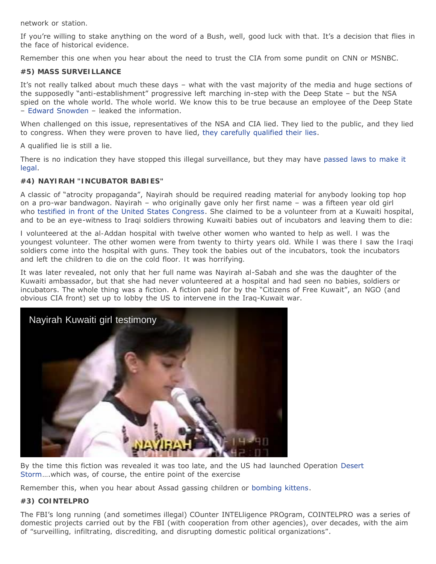*network or station.*

If you're willing to stake anything on the word of a Bush, well, good luck with that. It's a decision that flies in the face of historical evidence.

Remember this one when you hear about the need to trust the CIA from some pundit on CNN or MSNBC.

### **#5) MASS SURVEILLANCE**

It's not really talked about much these days – what with the vast majority of the media and huge sections of the supposedly "anti-establishment" progressive left marching in-step with the Deep State – but the NSA spied on the whole world. The whole world. We know this to be true because an employee of the Deep State – [Edward Snowden](https://en.wikipedia.org/wiki/Edward_Snowden) – leaked the information.

When challenged on this issue, representatives of the NSA and CIA lied. They lied to the public, and they lied to congress. When they were proven to have lied, [they carefully qualified their lies.](https://www.forbes.com/sites/andygreenberg/2013/06/06/watch-top-u-s-intelligence-officials-repeatedly-deny-nsa-spying-on-americans-over-the-last-year-videos/#276faf6f18d2)

A qualified lie is still a lie.

There is no indication they have stopped this illegal surveillance, but they may have [passed laws to make it](https://techcrunch.com/2018/02/27/warrantless-surveillance-law-proves-its-time-to-take-privacy-into-our-own-hands-2/) [legal](https://techcrunch.com/2018/02/27/warrantless-surveillance-law-proves-its-time-to-take-privacy-into-our-own-hands-2/).

### **#4) NAYIRAH "INCUBATOR BABIES"**

A classic of "atrocity propaganda", Nayirah should be required reading material for anybody looking top hop on a pro-war bandwagon. Nayirah – who originally gave only her first name – was a fifteen year old girl who [testified in front of the United States Congress.](https://www.youtube.com/watch?v=LmfVs3WaE9Y) She claimed to be a volunteer from at a Kuwaiti hospital, and to be an eye-witness to Iraqi soldiers throwing Kuwaiti babies out of incubators and leaving them to die:

*I volunteered at the al-Addan hospital with twelve other women who wanted to help as well. I was the youngest volunteer. The other women were from twenty to thirty years old. While I was there I saw the Iraqi soldiers come into the hospital with guns. They took the babies out of the incubators, took the incubators and left the children to die on the cold floor. It was horrifying.*

It was later revealed, not only that her full name was Nayirah al-Sabah and she was the daughter of the Kuwaiti ambassador, but that she had never volunteered at a hospital and had seen no babies, soldiers or incubators. The whole thing was a fiction. A fiction paid for by the "Citizens of Free Kuwait", an NGO (and obvious CIA front) set up to lobby the US to intervene in the Iraq-Kuwait war.



By the time this fiction was revealed it was too late, and the US had launched Operation [Desert](https://en.wikipedia.org/wiki/Gulf_War) [Storm…](https://en.wikipedia.org/wiki/Gulf_War).which was, of course, the entire point of the exercise

Remember this, when you hear about Assad gassing children or [bombing kittens.](https://www.huffingtonpost.co.uk/entry/cat-sanctuary-aleppo-syria-bombed_us_582c8c1ae4b099512f802121)

# **#3) COINTELPRO**

The FBI's long running (and sometimes illegal) COunter INTELligence PROgram, COINTELPRO was a series of domestic projects carried out by the FBI (with cooperation from other agencies), over decades, with the aim of *"surveilling, infiltrating, discrediting, and disrupting domestic political organizations"*.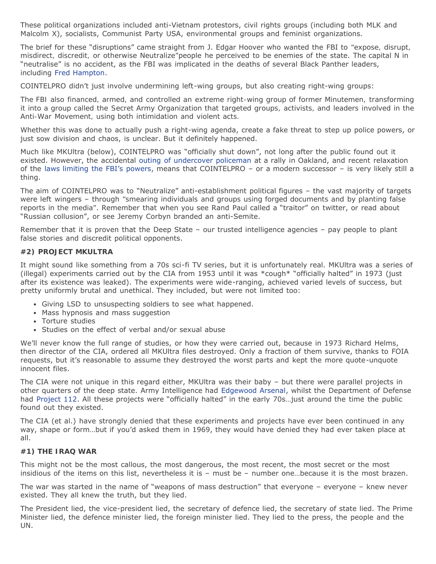These political organizations included anti-Vietnam protestors, civil rights groups (including both MLK and Malcolm X), socialists, Communist Party USA, environmental groups and feminist organizations.

The brief for these "disruptions" came straight from J. Edgar Hoover who wanted the FBI to *"expose, disrupt, misdirect, discredit, or otherwise Neutralize"*people he perceived to be enemies of the state. The capital N in "neutralise" is no accident, as the FBI was implicated in the deaths of several Black Panther leaders, including [Fred Hampton.](https://en.wikipedia.org/wiki/Fred_Hampton)

COINTELPRO didn't just involve undermining left-wing groups, but also creating right-wing groups:

*The FBI also financed, armed, and controlled an extreme right-wing group of former Minutemen, transforming it into a group called the Secret Army Organization that targeted groups, activists, and leaders involved in the Anti-War Movement, using both intimidation and violent acts.*

Whether this was done to actually push a right-wing agenda, create a fake threat to step up police powers, or just sow division and chaos, is unclear. But it definitely happened.

Much like MKUltra (below), COINTELPRO was "officially shut down", not long after the public found out it existed. However, the accidental [outing of undercover policeman](https://www.sfgate.com/bayarea/article/Undercover-cops-outed-attacked-at-Oakland-5951011.php) at a rally in Oakland, and recent relaxation of the [laws limiting the FBI's powers,](https://www.rutherford.org/publications_resources/john_whiteheads_commentary/the_new_fbi_powers_cointelpro_on_steroids) means that COINTELPRO – or a modern successor – is very likely still a thing.

The aim of COINTELPRO was to "Neutralize" anti-establishment political figures – the vast majority of targets were left wingers – through *"smearing individuals and groups using forged documents and by planting false reports in the media"*. Remember that when you see Rand Paul called a "traitor" on twitter, or read about "Russian collusion", or see Jeremy Corbyn branded an anti-Semite.

Remember that it is proven that the Deep State – our trusted intelligence agencies – pay people to plant false stories and discredit political opponents.

### **#2) PROJECT MKULTRA**

It might sound like something from a 70s sci-fi TV series, but it is unfortunately real. MKUltra was a series of (illegal) experiments carried out by the CIA from 1953 until it was \*cough\* "officially halted" in 1973 (just after its existence was leaked). The experiments were wide-ranging, achieved varied levels of success, but pretty uniformly brutal and unethical. They included, but were not limited too:

- Giving LSD to unsuspecting soldiers to see what happened.
- Mass hypnosis and mass suggestion
- Torture studies
- Studies on the effect of verbal and/or sexual abuse

We'll never know the full range of studies, or how they were carried out, because in 1973 Richard Helms, then director of the CIA, ordered all MKUltra files destroyed. Only a fraction of them survive, thanks to FOIA requests, but it's reasonable to assume they destroyed the worst parts and kept the more quote-unquote innocent files.

The CIA were not unique in this regard either, MKUltra was their baby – but there were parallel projects in other quarters of the deep state. Army Intelligence had [Edgewood Arsenal,](https://en.wikipedia.org/wiki/Edgewood_Arsenal_human_experiments) whilst the Department of Defense had [Project 112](https://en.wikipedia.org/wiki/Project_112). All these projects were "officially halted" in the early 70s…just around the time the public found out they existed.

The CIA (et al.) have strongly denied that these experiments and projects have ever been continued in any way, shape or form…but if you'd asked them in 1969, they would have denied they had ever taken place at all.

#### **#1) THE IRAQ WAR**

This might not be the most callous, the most dangerous, the most recent, the most secret or the most insidious of the items on this list, nevertheless it is – must be – number one…because it is the most brazen.

The war was started in the name of "weapons of mass destruction" that everyone – *everyone* – knew never existed. They all knew the truth, but they lied.

The President lied, the vice-president lied, the secretary of defence lied, the secretary of state lied. The Prime Minister lied, the defence minister lied, the foreign minister lied. They lied to the press, the people and the UN.